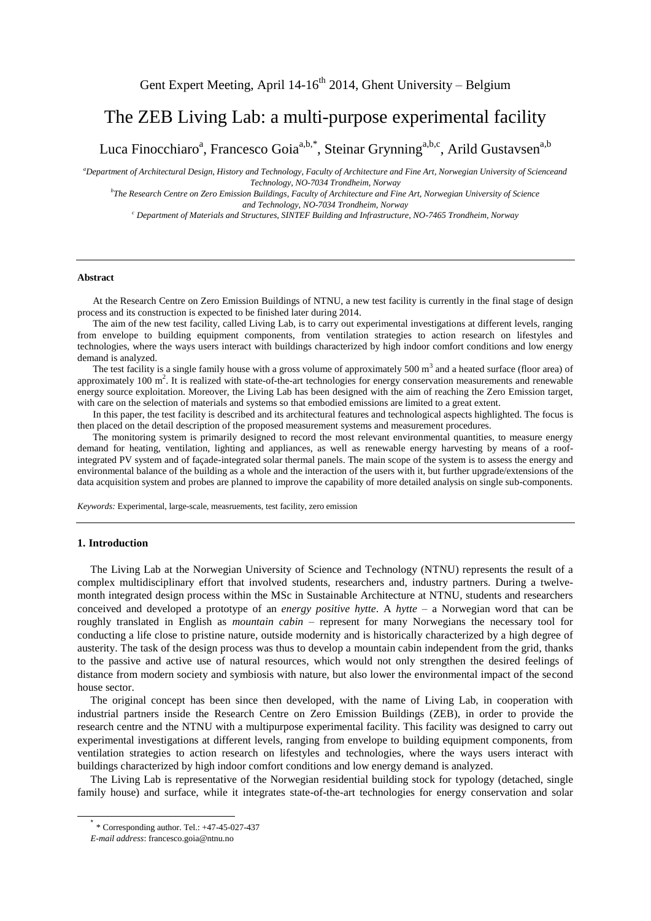# The ZEB Living Lab: a multi-purpose experimental facility

Luca Finocchiaro<sup>a</sup>, Francesco Goia<sup>a,b,\*</sup>, Steinar Grynning<sup>a,b,c</sup>, Arild Gustavsen<sup>a,b</sup>

*<sup>a</sup>Department of Architectural Design, History and Technology, Faculty of Architecture and Fine Art, Norwegian University of Scienceand Technology, NO-7034 Trondheim, Norway*

*b The Research Centre on Zero Emission Buildings, Faculty of Architecture and Fine Art, Norwegian University of Science and Technology, NO-7034 Trondheim, Norway* 

*<sup>c</sup> Department of Materials and Structures, SINTEF Building and Infrastructure, NO-7465 Trondheim, Norway*

#### **Abstract**

At the Research Centre on Zero Emission Buildings of NTNU, a new test facility is currently in the final stage of design process and its construction is expected to be finished later during 2014.

The aim of the new test facility, called Living Lab, is to carry out experimental investigations at different levels, ranging from envelope to building equipment components, from ventilation strategies to action research on lifestyles and technologies, where the ways users interact with buildings characterized by high indoor comfort conditions and low energy demand is analyzed.

The test facility is a single family house with a gross volume of approximately  $500 \text{ m}^3$  and a heated surface (floor area) of approximately  $100 \text{ m}^2$ . It is realized with state-of-the-art technologies for energy conservation measurements and renewable energy source exploitation. Moreover, the Living Lab has been designed with the aim of reaching the Zero Emission target, with care on the selection of materials and systems so that embodied emissions are limited to a great extent.

In this paper, the test facility is described and its architectural features and technological aspects highlighted. The focus is then placed on the detail description of the proposed measurement systems and measurement procedures.

The monitoring system is primarily designed to record the most relevant environmental quantities, to measure energy demand for heating, ventilation, lighting and appliances, as well as renewable energy harvesting by means of a roofintegrated PV system and of façade-integrated solar thermal panels. The main scope of the system is to assess the energy and environmental balance of the building as a whole and the interaction of the users with it, but further upgrade/extensions of the data acquisition system and probes are planned to improve the capability of more detailed analysis on single sub-components.

*Keywords:* Experimental, large-scale, measruements, test facility, zero emission

## **1. Introduction**

-

The Living Lab at the Norwegian University of Science and Technology (NTNU) represents the result of a complex multidisciplinary effort that involved students, researchers and, industry partners. During a twelvemonth integrated design process within the MSc in Sustainable Architecture at NTNU, students and researchers conceived and developed a prototype of an *energy positive hytte*. A *hytte* – a Norwegian word that can be roughly translated in English as *mountain cabin* – represent for many Norwegians the necessary tool for conducting a life close to pristine nature, outside modernity and is historically characterized by a high degree of austerity. The task of the design process was thus to develop a mountain cabin independent from the grid, thanks to the passive and active use of natural resources, which would not only strengthen the desired feelings of distance from modern society and symbiosis with nature, but also lower the environmental impact of the second house sector.

The original concept has been since then developed, with the name of Living Lab, in cooperation with industrial partners inside the Research Centre on Zero Emission Buildings (ZEB), in order to provide the research centre and the NTNU with a multipurpose experimental facility. This facility was designed to carry out experimental investigations at different levels, ranging from envelope to building equipment components, from ventilation strategies to action research on lifestyles and technologies, where the ways users interact with buildings characterized by high indoor comfort conditions and low energy demand is analyzed.

The Living Lab is representative of the Norwegian residential building stock for typology (detached, single family house) and surface, while it integrates state-of-the-art technologies for energy conservation and solar

<sup>\*</sup> \* Corresponding author. Tel.: +47-45-027-437

*E-mail address*[: francesco.goia@ntnu.no](mailto:francesco.goia@ntnu.no)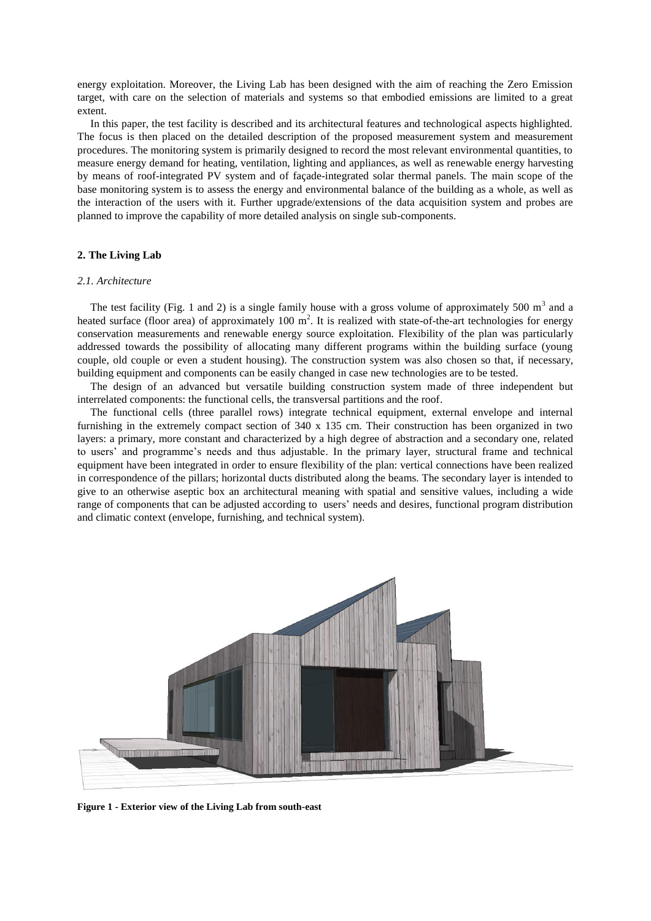energy exploitation. Moreover, the Living Lab has been designed with the aim of reaching the Zero Emission target, with care on the selection of materials and systems so that embodied emissions are limited to a great extent.

In this paper, the test facility is described and its architectural features and technological aspects highlighted. The focus is then placed on the detailed description of the proposed measurement system and measurement procedures. The monitoring system is primarily designed to record the most relevant environmental quantities, to measure energy demand for heating, ventilation, lighting and appliances, as well as renewable energy harvesting by means of roof-integrated PV system and of façade-integrated solar thermal panels. The main scope of the base monitoring system is to assess the energy and environmental balance of the building as a whole, as well as the interaction of the users with it. Further upgrade/extensions of the data acquisition system and probes are planned to improve the capability of more detailed analysis on single sub-components.

# **2. The Living Lab**

# *2.1. Architecture*

The test facility (Fig. 1 and 2) is a single family house with a gross volume of approximately 500  $m<sup>3</sup>$  and a heated surface (floor area) of approximately 100  $m^2$ . It is realized with state-of-the-art technologies for energy conservation measurements and renewable energy source exploitation. Flexibility of the plan was particularly addressed towards the possibility of allocating many different programs within the building surface (young couple, old couple or even a student housing). The construction system was also chosen so that, if necessary, building equipment and components can be easily changed in case new technologies are to be tested.

The design of an advanced but versatile building construction system made of three independent but interrelated components: the functional cells, the transversal partitions and the roof.

The functional cells (three parallel rows) integrate technical equipment, external envelope and internal furnishing in the extremely compact section of 340 x 135 cm. Their construction has been organized in two layers: a primary, more constant and characterized by a high degree of abstraction and a secondary one, related to users' and programme's needs and thus adjustable. In the primary layer, structural frame and technical equipment have been integrated in order to ensure flexibility of the plan: vertical connections have been realized in correspondence of the pillars; horizontal ducts distributed along the beams. The secondary layer is intended to give to an otherwise aseptic box an architectural meaning with spatial and sensitive values, including a wide range of components that can be adjusted according to users' needs and desires, functional program distribution and climatic context (envelope, furnishing, and technical system).



**Figure 1 - Exterior view of the Living Lab from south-east**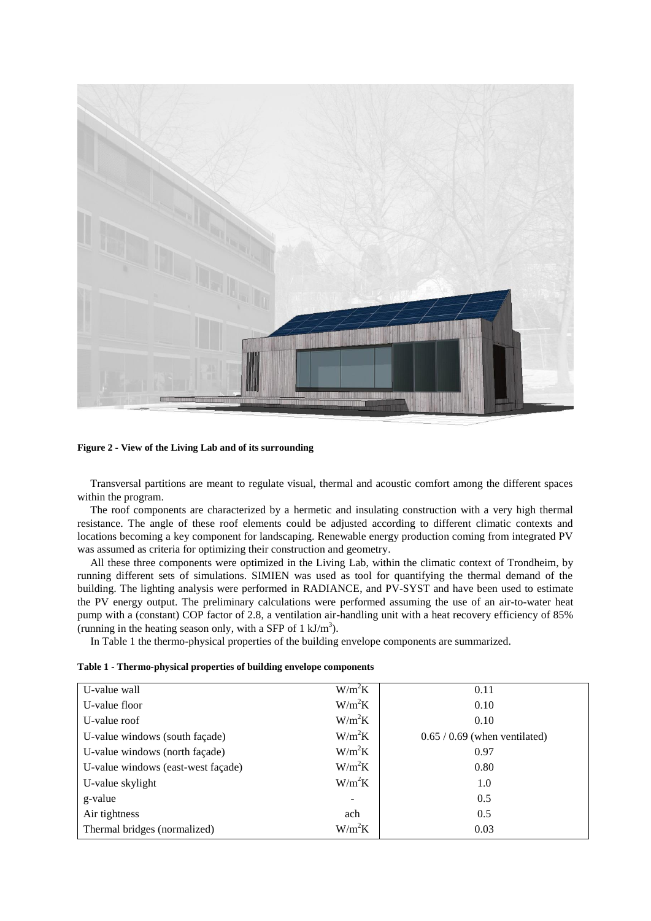

**Figure 2 - View of the Living Lab and of its surrounding**

Transversal partitions are meant to regulate visual, thermal and acoustic comfort among the different spaces within the program.

The roof components are characterized by a hermetic and insulating construction with a very high thermal resistance. The angle of these roof elements could be adjusted according to different climatic contexts and locations becoming a key component for landscaping. Renewable energy production coming from integrated PV was assumed as criteria for optimizing their construction and geometry.

All these three components were optimized in the Living Lab, within the climatic context of Trondheim, by running different sets of simulations. SIMIEN was used as tool for quantifying the thermal demand of the building. The lighting analysis were performed in RADIANCE, and PV-SYST and have been used to estimate the PV energy output. The preliminary calculations were performed assuming the use of an air-to-water heat pump with a (constant) COP factor of 2.8, a ventilation air-handling unit with a heat recovery efficiency of 85% (running in the heating season only, with a SFP of  $1 \text{ kJ/m}^3$ ).

In Table 1 the thermo-physical properties of the building envelope components are summarized.

| Table 1 - Thermo-physical properties of building envelope components |
|----------------------------------------------------------------------|
|----------------------------------------------------------------------|

| U-value wall                       | $W/m^2K$          | 0.11                            |
|------------------------------------|-------------------|---------------------------------|
| U-value floor                      | $W/m^2K$          | 0.10                            |
| U-value roof                       | $W/m^2K$          | 0.10                            |
| U-value windows (south façade)     | $W/m^2K$          | $0.65 / 0.69$ (when ventilated) |
| U-value windows (north façade)     | $W/m^2K$          | 0.97                            |
| U-value windows (east-west façade) | $W/m^2K$          | 0.80                            |
| U-value skylight                   | $W/m^2K$          | 1.0                             |
| g-value                            | $\qquad \qquad -$ | 0.5                             |
| Air tightness                      | ach               | 0.5                             |
| Thermal bridges (normalized)       | $W/m^2K$          | 0.03                            |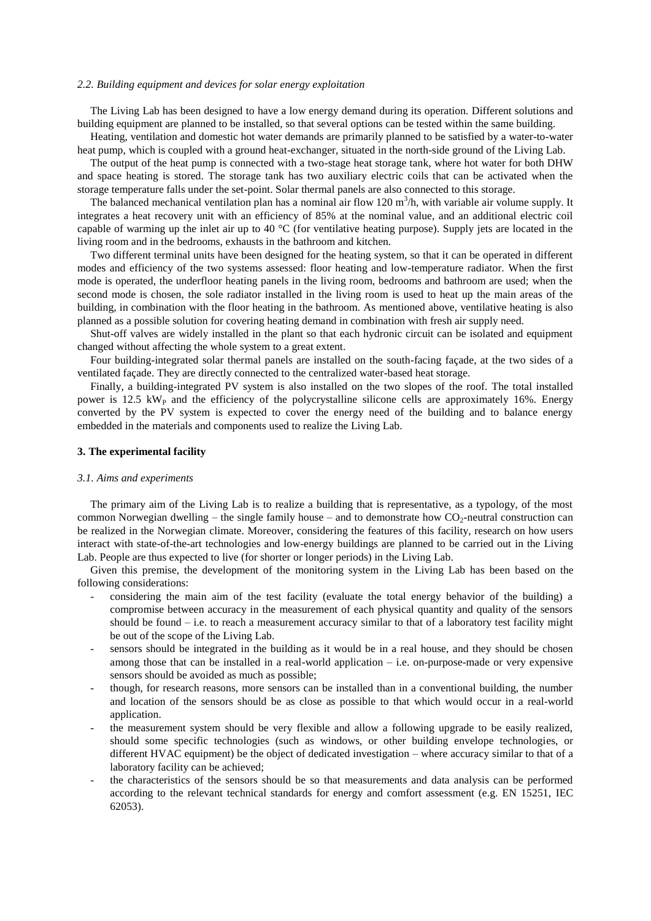#### *2.2. Building equipment and devices for solar energy exploitation*

The Living Lab has been designed to have a low energy demand during its operation. Different solutions and building equipment are planned to be installed, so that several options can be tested within the same building.

Heating, ventilation and domestic hot water demands are primarily planned to be satisfied by a water-to-water heat pump, which is coupled with a ground heat-exchanger, situated in the north-side ground of the Living Lab.

The output of the heat pump is connected with a two-stage heat storage tank, where hot water for both DHW and space heating is stored. The storage tank has two auxiliary electric coils that can be activated when the storage temperature falls under the set-point. Solar thermal panels are also connected to this storage.

The balanced mechanical ventilation plan has a nominal air flow 120  $\text{m}^3$ /h, with variable air volume supply. It integrates a heat recovery unit with an efficiency of 85% at the nominal value, and an additional electric coil capable of warming up the inlet air up to 40 °C (for ventilative heating purpose). Supply jets are located in the living room and in the bedrooms, exhausts in the bathroom and kitchen.

Two different terminal units have been designed for the heating system, so that it can be operated in different modes and efficiency of the two systems assessed: floor heating and low-temperature radiator. When the first mode is operated, the underfloor heating panels in the living room, bedrooms and bathroom are used; when the second mode is chosen, the sole radiator installed in the living room is used to heat up the main areas of the building, in combination with the floor heating in the bathroom. As mentioned above, ventilative heating is also planned as a possible solution for covering heating demand in combination with fresh air supply need.

Shut-off valves are widely installed in the plant so that each hydronic circuit can be isolated and equipment changed without affecting the whole system to a great extent.

Four building-integrated solar thermal panels are installed on the south-facing façade, at the two sides of a ventilated façade. They are directly connected to the centralized water-based heat storage.

Finally, a building-integrated PV system is also installed on the two slopes of the roof. The total installed power is 12.5  $kW<sub>P</sub>$  and the efficiency of the polycrystalline silicone cells are approximately 16%. Energy converted by the PV system is expected to cover the energy need of the building and to balance energy embedded in the materials and components used to realize the Living Lab.

## **3. The experimental facility**

#### *3.1. Aims and experiments*

The primary aim of the Living Lab is to realize a building that is representative, as a typology, of the most common Norwegian dwelling – the single family house – and to demonstrate how  $CO<sub>2</sub>$ -neutral construction can be realized in the Norwegian climate. Moreover, considering the features of this facility, research on how users interact with state-of-the-art technologies and low-energy buildings are planned to be carried out in the Living Lab. People are thus expected to live (for shorter or longer periods) in the Living Lab.

Given this premise, the development of the monitoring system in the Living Lab has been based on the following considerations:

- considering the main aim of the test facility (evaluate the total energy behavior of the building) a compromise between accuracy in the measurement of each physical quantity and quality of the sensors should be found  $-$  i.e. to reach a measurement accuracy similar to that of a laboratory test facility might be out of the scope of the Living Lab.
- sensors should be integrated in the building as it would be in a real house, and they should be chosen among those that can be installed in a real-world application – i.e. on-purpose-made or very expensive sensors should be avoided as much as possible;
- though, for research reasons, more sensors can be installed than in a conventional building, the number and location of the sensors should be as close as possible to that which would occur in a real-world application.
- the measurement system should be very flexible and allow a following upgrade to be easily realized, should some specific technologies (such as windows, or other building envelope technologies, or different HVAC equipment) be the object of dedicated investigation – where accuracy similar to that of a laboratory facility can be achieved;
- the characteristics of the sensors should be so that measurements and data analysis can be performed according to the relevant technical standards for energy and comfort assessment (e.g. EN 15251, IEC 62053).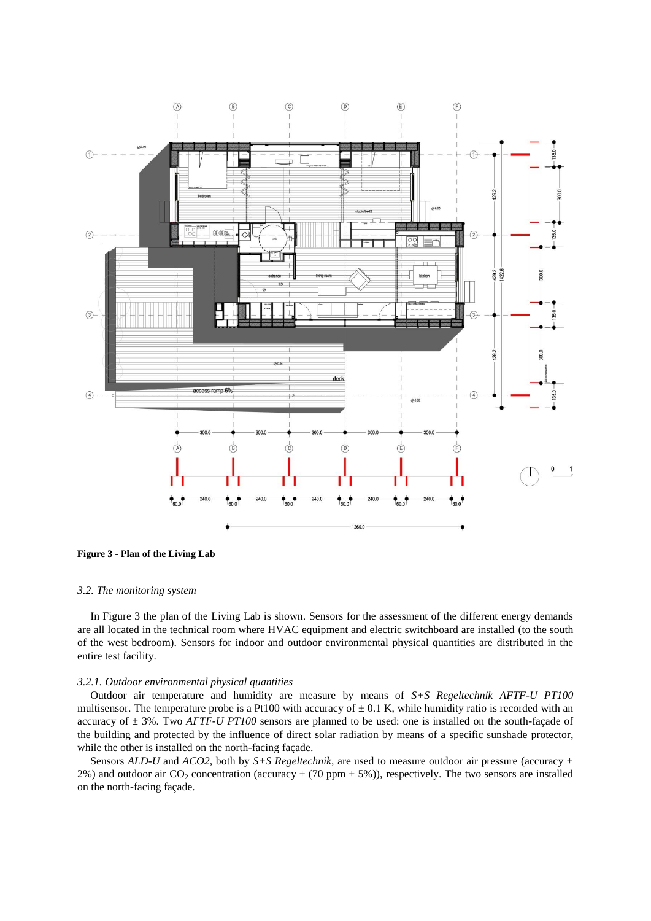

**Figure 3 - Plan of the Living Lab**

## *3.2. The monitoring system*

In Figure 3 the plan of the Living Lab is shown. Sensors for the assessment of the different energy demands are all located in the technical room where HVAC equipment and electric switchboard are installed (to the south of the west bedroom). Sensors for indoor and outdoor environmental physical quantities are distributed in the entire test facility.

## *3.2.1. Outdoor environmental physical quantities*

Outdoor air temperature and humidity are measure by means of *S+S Regeltechnik AFTF-U PT100* multisensor. The temperature probe is a Pt100 with accuracy of  $\pm$  0.1 K, while humidity ratio is recorded with an accuracy of ± 3%. Two *AFTF-U PT100* sensors are planned to be used: one is installed on the south-façade of the building and protected by the influence of direct solar radiation by means of a specific sunshade protector, while the other is installed on the north-facing façade.

Sensors *ALD-U* and *ACO2*, both by *S+S Regeltechnik,* are used to measure outdoor air pressure (accuracy ± 2%) and outdoor air CO<sub>2</sub> concentration (accuracy  $\pm$  (70 ppm + 5%)), respectively. The two sensors are installed on the north-facing façade.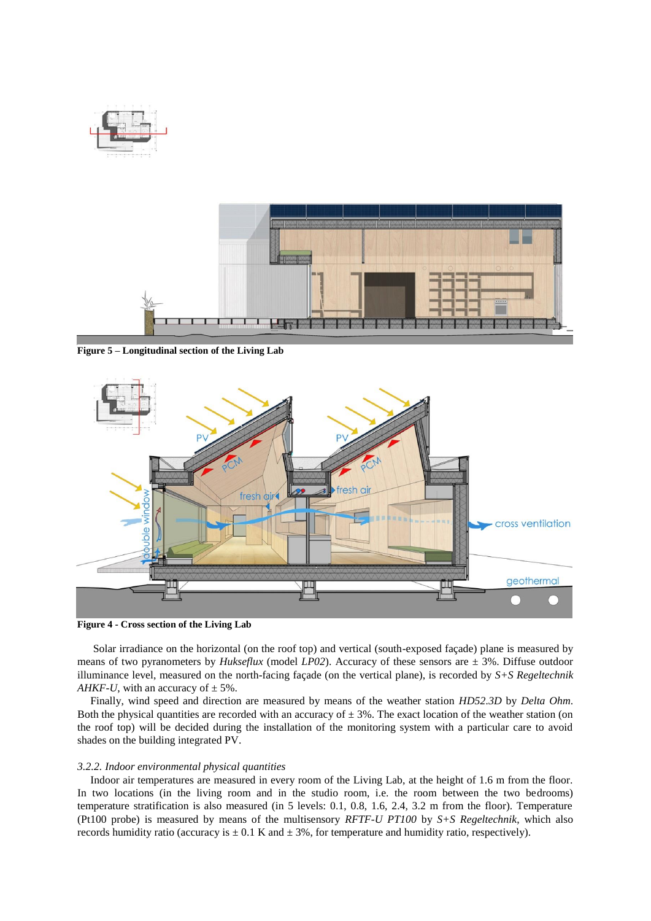

**Figure 5 – Longitudinal section of the Living Lab**



**Figure 4 - Cross section of the Living Lab**

Solar irradiance on the horizontal (on the roof top) and vertical (south-exposed façade) plane is measured by means of two pyranometers by *Hukseflux* (model *LP02*). Accuracy of these sensors are ± 3%. Diffuse outdoor illuminance level, measured on the north-facing façade (on the vertical plane), is recorded by *S+S Regeltechnik AHKF-U*, with an accuracy of  $\pm$  5%.

Finally, wind speed and direction are measured by means of the weather station *HD52.3D* by *Delta Ohm*. Both the physical quantities are recorded with an accuracy of  $\pm$  3%. The exact location of the weather station (on the roof top) will be decided during the installation of the monitoring system with a particular care to avoid shades on the building integrated PV.

### *3.2.2. Indoor environmental physical quantities*

Indoor air temperatures are measured in every room of the Living Lab, at the height of 1.6 m from the floor. In two locations (in the living room and in the studio room, i.e. the room between the two bedrooms) temperature stratification is also measured (in 5 levels: 0.1, 0.8, 1.6, 2.4, 3.2 m from the floor). Temperature (Pt100 probe) is measured by means of the multisensory *RFTF-U PT100* by *S+S Regeltechnik*, which also records humidity ratio (accuracy is  $\pm 0.1$  K and  $\pm 3\%$ , for temperature and humidity ratio, respectively).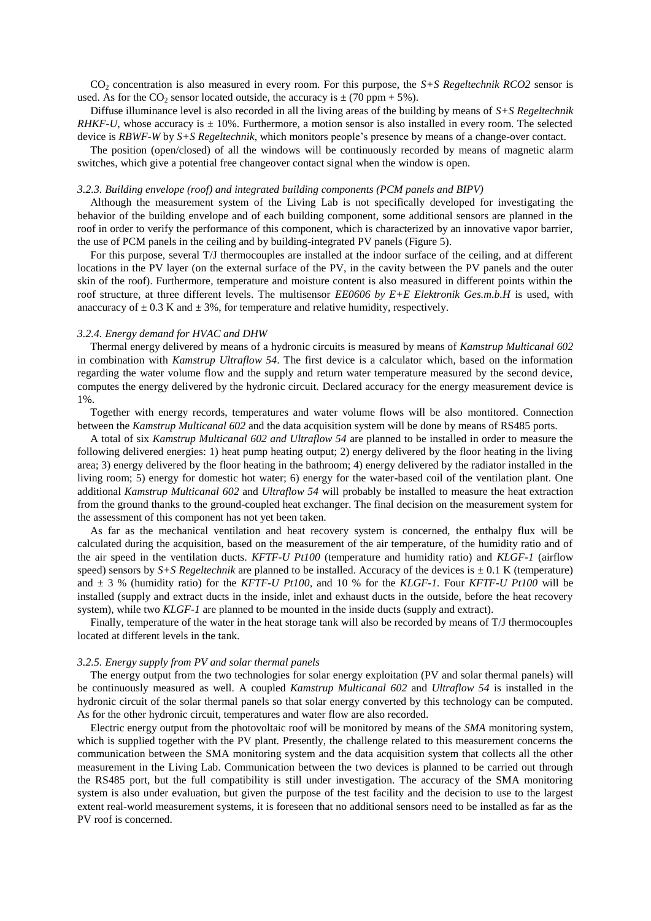CO<sup>2</sup> concentration is also measured in every room. For this purpose, the *S+S Regeltechnik RCO2* sensor is used. As for the CO<sub>2</sub> sensor located outside, the accuracy is  $\pm$  (70 ppm + 5%).

Diffuse illuminance level is also recorded in all the living areas of the building by means of *S+S Regeltechnik RHKF-U*, whose accuracy is  $\pm$  10%. Furthermore, a motion sensor is also installed in every room. The selected device is *RBWF-W* by *S+S Regeltechnik*, which monitors people's presence by means of a change-over contact.

The position (open/closed) of all the windows will be continuously recorded by means of magnetic alarm switches, which give a potential free changeover contact signal when the window is open.

## *3.2.3. Building envelope (roof) and integrated building components (PCM panels and BIPV)*

Although the measurement system of the Living Lab is not specifically developed for investigating the behavior of the building envelope and of each building component, some additional sensors are planned in the roof in order to verify the performance of this component, which is characterized by an innovative vapor barrier, the use of PCM panels in the ceiling and by building-integrated PV panels (Figure 5).

For this purpose, several T/J thermocouples are installed at the indoor surface of the ceiling, and at different locations in the PV layer (on the external surface of the PV, in the cavity between the PV panels and the outer skin of the roof). Furthermore, temperature and moisture content is also measured in different points within the roof structure, at three different levels. The multisensor *EE0606 by E+E Elektronik Ges.m.b.H* is used, with anaccuracy of  $\pm$  0.3 K and  $\pm$  3%, for temperature and relative humidity, respectively.

# *3.2.4. Energy demand for HVAC and DHW*

Thermal energy delivered by means of a hydronic circuits is measured by means of *Kamstrup Multicanal 602* in combination with *Kamstrup Ultraflow 54*. The first device is a calculator which, based on the information regarding the water volume flow and the supply and return water temperature measured by the second device, computes the energy delivered by the hydronic circuit. Declared accuracy for the energy measurement device is 1%.

Together with energy records, temperatures and water volume flows will be also montitored. Connection between the *Kamstrup Multicanal 602* and the data acquisition system will be done by means of RS485 ports.

A total of six *Kamstrup Multicanal 602 and Ultraflow 54* are planned to be installed in order to measure the following delivered energies: 1) heat pump heating output; 2) energy delivered by the floor heating in the living area; 3) energy delivered by the floor heating in the bathroom; 4) energy delivered by the radiator installed in the living room; 5) energy for domestic hot water; 6) energy for the water-based coil of the ventilation plant. One additional *Kamstrup Multicanal 602* and *Ultraflow 54* will probably be installed to measure the heat extraction from the ground thanks to the ground-coupled heat exchanger. The final decision on the measurement system for the assessment of this component has not yet been taken.

As far as the mechanical ventilation and heat recovery system is concerned, the enthalpy flux will be calculated during the acquisition, based on the measurement of the air temperature, of the humidity ratio and of the air speed in the ventilation ducts. *KFTF-U Pt100* (temperature and humidity ratio) and *KLGF-1* (airflow speed) sensors by  $S+S$  *Regeltechnik* are planned to be installed. Accuracy of the devices is  $\pm$  0.1 K (temperature) and ± 3 % (humidity ratio) for the *KFTF-U Pt100,* and 10 % for the *KLGF-1.* Four *KFTF-U Pt100* will be installed (supply and extract ducts in the inside, inlet and exhaust ducts in the outside, before the heat recovery system), while two *KLGF-1* are planned to be mounted in the inside ducts (supply and extract).

Finally, temperature of the water in the heat storage tank will also be recorded by means of T/J thermocouples located at different levels in the tank.

## *3.2.5. Energy supply from PV and solar thermal panels*

The energy output from the two technologies for solar energy exploitation (PV and solar thermal panels) will be continuously measured as well. A coupled *Kamstrup Multicanal 602* and *Ultraflow 54* is installed in the hydronic circuit of the solar thermal panels so that solar energy converted by this technology can be computed. As for the other hydronic circuit, temperatures and water flow are also recorded.

Electric energy output from the photovoltaic roof will be monitored by means of the *SMA* monitoring system, which is supplied together with the PV plant. Presently, the challenge related to this measurement concerns the communication between the SMA monitoring system and the data acquisition system that collects all the other measurement in the Living Lab. Communication between the two devices is planned to be carried out through the RS485 port, but the full compatibility is still under investigation. The accuracy of the SMA monitoring system is also under evaluation, but given the purpose of the test facility and the decision to use to the largest extent real-world measurement systems, it is foreseen that no additional sensors need to be installed as far as the PV roof is concerned.